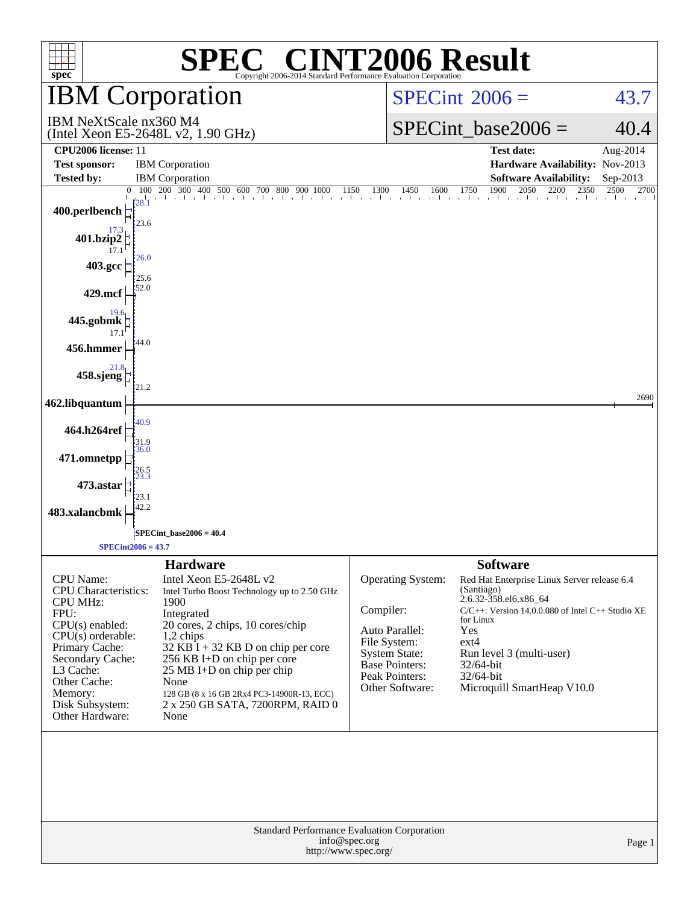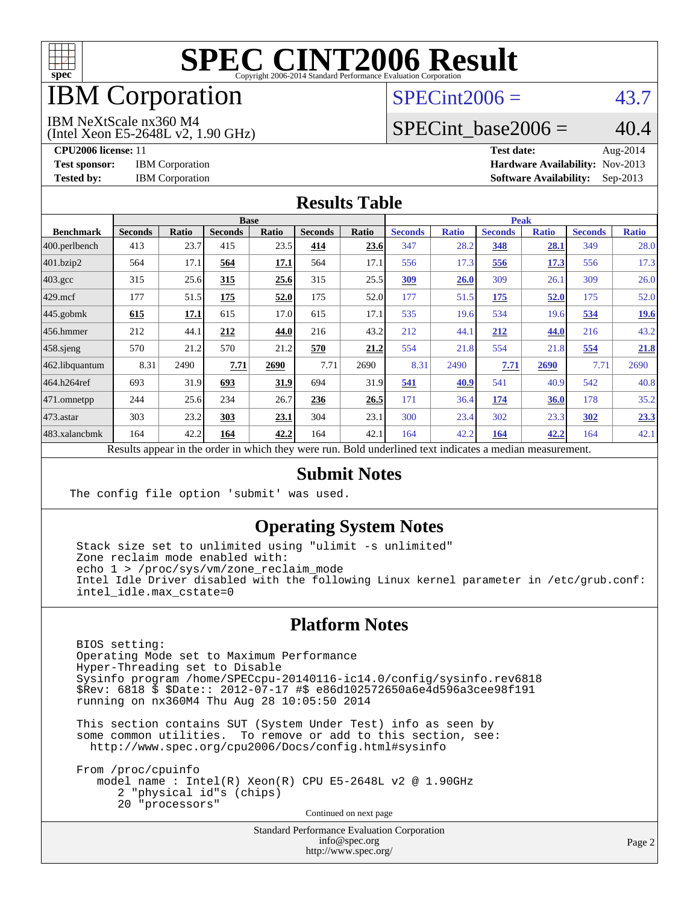

## IBM Corporation

### $SPECint2006 = 43.7$  $SPECint2006 = 43.7$

IBM NeXtScale nx360 M4

(Intel Xeon E5-2648L v2, 1.90 GHz)

SPECint base2006 =  $40.4$ 

**[CPU2006 license:](http://www.spec.org/auto/cpu2006/Docs/result-fields.html#CPU2006license)** 11 **[Test date:](http://www.spec.org/auto/cpu2006/Docs/result-fields.html#Testdate)** Aug-2014 **[Test sponsor:](http://www.spec.org/auto/cpu2006/Docs/result-fields.html#Testsponsor)** IBM Corporation **[Hardware Availability:](http://www.spec.org/auto/cpu2006/Docs/result-fields.html#HardwareAvailability)** Nov-2013 **[Tested by:](http://www.spec.org/auto/cpu2006/Docs/result-fields.html#Testedby)** IBM Corporation **[Software Availability:](http://www.spec.org/auto/cpu2006/Docs/result-fields.html#SoftwareAvailability)** Sep-2013

#### **[Results Table](http://www.spec.org/auto/cpu2006/Docs/result-fields.html#ResultsTable)**

|                    | <b>Base</b>                                                                                              |              |                |       |                |       |                | <b>Peak</b>  |                |              |                |              |  |
|--------------------|----------------------------------------------------------------------------------------------------------|--------------|----------------|-------|----------------|-------|----------------|--------------|----------------|--------------|----------------|--------------|--|
| <b>Benchmark</b>   | <b>Seconds</b>                                                                                           | <b>Ratio</b> | <b>Seconds</b> | Ratio | <b>Seconds</b> | Ratio | <b>Seconds</b> | <b>Ratio</b> | <b>Seconds</b> | <b>Ratio</b> | <b>Seconds</b> | <b>Ratio</b> |  |
| 400.perlbench      | 413                                                                                                      | 23.7         | 415            | 23.5  | 414            | 23.6  | 347            | 28.2         | 348            | 28.1         | 349            | 28.0         |  |
| 401.bzip2          | 564                                                                                                      | 17.1         | 564            | 17.1  | 564            | 17.1  | 556            | 17.3         | 556            | 17.3         | 556            | 17.3         |  |
| $403.\mathrm{gcc}$ | 315                                                                                                      | 25.6         | 315            | 25.6  | 315            | 25.5  | 309            | 26.0         | 309            | 26.1         | 309            | 26.0         |  |
| $429$ .mcf         | 177                                                                                                      | 51.5         | 175            | 52.0  | 175            | 52.0  | 177            | 51.5         | <u>175</u>     | 52.0         | 175            | 52.0         |  |
| $445$ .gobmk       | 615                                                                                                      | 17.1         | 615            | 17.0  | 615            | 17.1  | 535            | 19.6         | 534            | 19.6         | 534            | <u>19.6</u>  |  |
| $456.$ hmmer       | 212                                                                                                      | 44.1         | 212            | 44.0  | 216            | 43.2  | 212            | 44.1         | 212            | 44.0         | 216            | 43.2         |  |
| $458$ .sjeng       | 570                                                                                                      | 21.2         | 570            | 21.2  | 570            | 21.2  | 554            | 21.8         | 554            | 21.8         | 554            | 21.8         |  |
| 462.libquantum     | 8.31                                                                                                     | 2490         | 7.71           | 2690  | 7.71           | 2690  | 8.31           | 2490         | 7.71           | 2690         | 7.71           | 2690         |  |
| 464.h264ref        | 693                                                                                                      | 31.9         | 693            | 31.9  | 694            | 31.9  | 541            | 40.9         | 541            | 40.9         | 542            | 40.8         |  |
| 471.omnetpp        | 244                                                                                                      | 25.6         | 234            | 26.7  | 236            | 26.5  | 171            | 36.4         | 174            | 36.0         | 178            | 35.2         |  |
| 473.astar          | 303                                                                                                      | 23.2         | 303            | 23.1  | 304            | 23.1  | 300            | 23.4         | 302            | 23.3         | 302            | 23.3         |  |
| 483.xalancbmk      | 164                                                                                                      | 42.2         | 164            | 42.2  | 164            | 42.1  | 164            | 42.2         | 164            | 42.2         | 164            | 42.1         |  |
|                    | Results appear in the order in which they were run. Bold underlined text indicates a median measurement. |              |                |       |                |       |                |              |                |              |                |              |  |

#### **[Submit Notes](http://www.spec.org/auto/cpu2006/Docs/result-fields.html#SubmitNotes)**

The config file option 'submit' was used.

#### **[Operating System Notes](http://www.spec.org/auto/cpu2006/Docs/result-fields.html#OperatingSystemNotes)**

 Stack size set to unlimited using "ulimit -s unlimited" Zone reclaim mode enabled with: echo 1 > /proc/sys/vm/zone reclaim mode Intel Idle Driver disabled with the following Linux kernel parameter in /etc/grub.conf: intel\_idle.max\_cstate=0

#### **[Platform Notes](http://www.spec.org/auto/cpu2006/Docs/result-fields.html#PlatformNotes)**

 BIOS setting: Operating Mode set to Maximum Performance Hyper-Threading set to Disable Sysinfo program /home/SPECcpu-20140116-ic14.0/config/sysinfo.rev6818 \$Rev: 6818 \$ \$Date:: 2012-07-17 #\$ e86d102572650a6e4d596a3cee98f191 running on nx360M4 Thu Aug 28 10:05:50 2014

 This section contains SUT (System Under Test) info as seen by some common utilities. To remove or add to this section, see: <http://www.spec.org/cpu2006/Docs/config.html#sysinfo>

 From /proc/cpuinfo model name : Intel(R) Xeon(R) CPU E5-2648L v2 @ 1.90GHz 2 "physical id"s (chips) 20 "processors" Continued on next page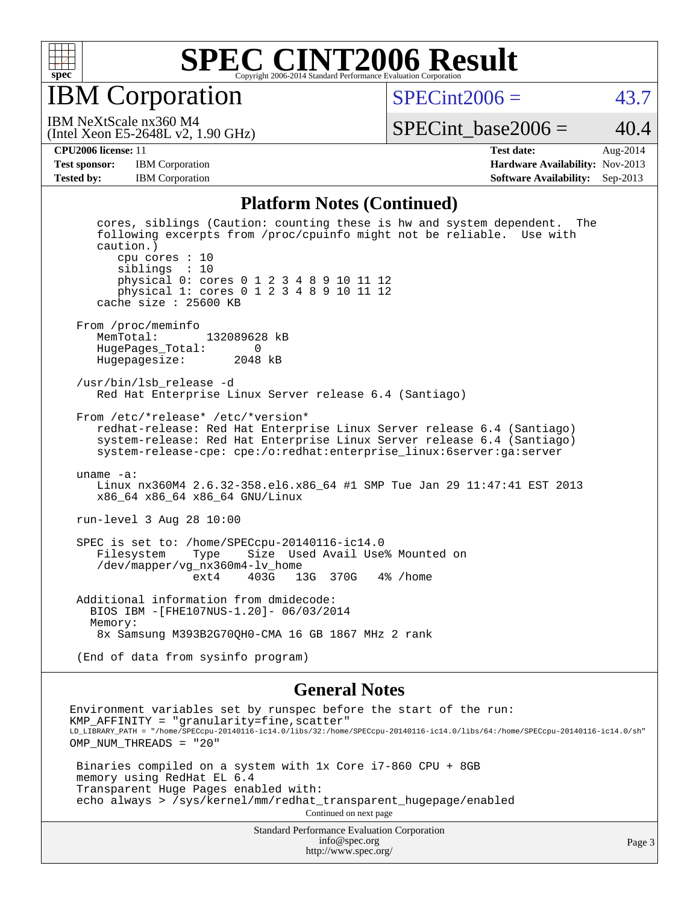

IBM Corporation

 $SPECint2006 = 43.7$  $SPECint2006 = 43.7$ 

(Intel Xeon E5-2648L v2, 1.90 GHz) IBM NeXtScale nx360 M4

SPECint base2006 =  $40.4$ 

**[Test sponsor:](http://www.spec.org/auto/cpu2006/Docs/result-fields.html#Testsponsor)** IBM Corporation **[Hardware Availability:](http://www.spec.org/auto/cpu2006/Docs/result-fields.html#HardwareAvailability)** Nov-2013

**[CPU2006 license:](http://www.spec.org/auto/cpu2006/Docs/result-fields.html#CPU2006license)** 11 **[Test date:](http://www.spec.org/auto/cpu2006/Docs/result-fields.html#Testdate)** Aug-2014 **[Tested by:](http://www.spec.org/auto/cpu2006/Docs/result-fields.html#Testedby)** IBM Corporation **[Software Availability:](http://www.spec.org/auto/cpu2006/Docs/result-fields.html#SoftwareAvailability)** Sep-2013

#### **[Platform Notes \(Continued\)](http://www.spec.org/auto/cpu2006/Docs/result-fields.html#PlatformNotes)**

 cores, siblings (Caution: counting these is hw and system dependent. The following excerpts from /proc/cpuinfo might not be reliable. Use with caution.) cpu cores : 10 siblings : 10 physical 0: cores 0 1 2 3 4 8 9 10 11 12 physical 1: cores 0 1 2 3 4 8 9 10 11 12 cache size : 25600 KB From /proc/meminfo<br>MemTotal: 132089628 kB HugePages\_Total: 0 Hugepagesize: 2048 kB /usr/bin/lsb\_release -d Red Hat Enterprise Linux Server release 6.4 (Santiago) From /etc/\*release\* /etc/\*version\* redhat-release: Red Hat Enterprise Linux Server release 6.4 (Santiago) system-release: Red Hat Enterprise Linux Server release 6.4 (Santiago) system-release-cpe: cpe:/o:redhat:enterprise\_linux:6server:ga:server uname -a: Linux nx360M4 2.6.32-358.el6.x86\_64 #1 SMP Tue Jan 29 11:47:41 EST 2013 x86\_64 x86\_64 x86\_64 GNU/Linux run-level 3 Aug 28 10:00 SPEC is set to: /home/SPECcpu-20140116-ic14.0 Filesystem Type Size Used Avail Use% Mounted on /dev/mapper/vg\_nx360m4-lv\_home 13G 370G 4% / home Additional information from dmidecode: BIOS IBM -[FHE107NUS-1.20]- 06/03/2014 Memory: 8x Samsung M393B2G70QH0-CMA 16 GB 1867 MHz 2 rank (End of data from sysinfo program)

#### **[General Notes](http://www.spec.org/auto/cpu2006/Docs/result-fields.html#GeneralNotes)**

Environment variables set by runspec before the start of the run: KMP  $AFFINITY = "granularity=fine, scatter"$ LD\_LIBRARY\_PATH = "/home/SPECcpu-20140116-ic14.0/libs/32:/home/SPECcpu-20140116-ic14.0/libs/64:/home/SPECcpu-20140116-ic14.0/sh" OMP NUM THREADS = "20" Binaries compiled on a system with 1x Core i7-860 CPU + 8GB memory using RedHat EL 6.4 Transparent Huge Pages enabled with: echo always > /sys/kernel/mm/redhat\_transparent\_hugepage/enabled Continued on next page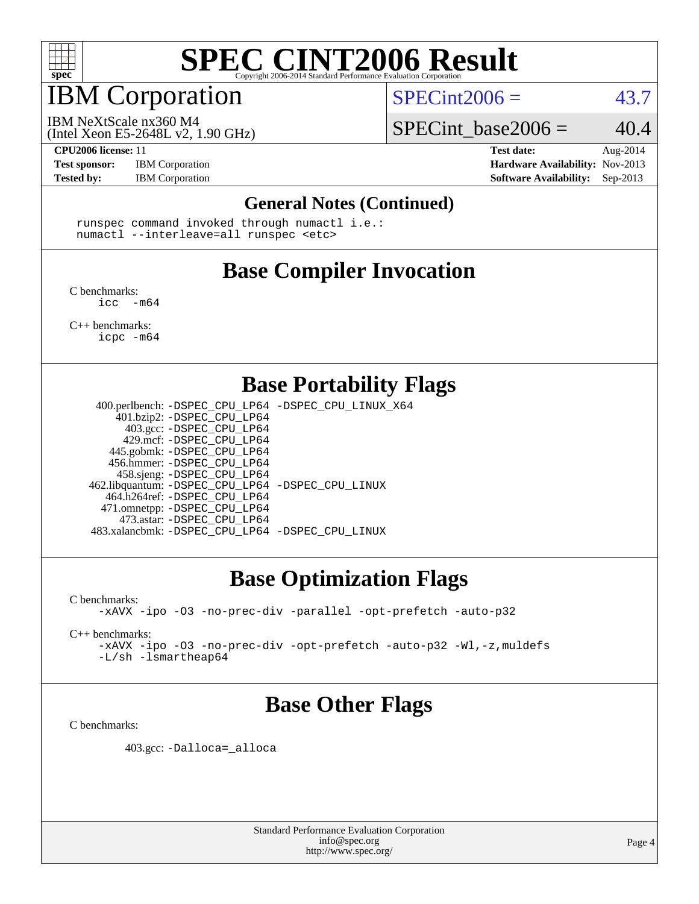

### IBM Corporation

 $SPECint2006 = 43.7$  $SPECint2006 = 43.7$ 

(Intel Xeon E5-2648L v2, 1.90 GHz) IBM NeXtScale nx360 M4

SPECint base2006 =  $40.4$ 

**[Test sponsor:](http://www.spec.org/auto/cpu2006/Docs/result-fields.html#Testsponsor)** IBM Corporation **[Hardware Availability:](http://www.spec.org/auto/cpu2006/Docs/result-fields.html#HardwareAvailability)** Nov-2013

**[CPU2006 license:](http://www.spec.org/auto/cpu2006/Docs/result-fields.html#CPU2006license)** 11 **[Test date:](http://www.spec.org/auto/cpu2006/Docs/result-fields.html#Testdate)** Aug-2014 **[Tested by:](http://www.spec.org/auto/cpu2006/Docs/result-fields.html#Testedby)** IBM Corporation **[Software Availability:](http://www.spec.org/auto/cpu2006/Docs/result-fields.html#SoftwareAvailability)** Sep-2013

#### **[General Notes \(Continued\)](http://www.spec.org/auto/cpu2006/Docs/result-fields.html#GeneralNotes)**

 runspec command invoked through numactl i.e.: numactl --interleave=all runspec <etc>

### **[Base Compiler Invocation](http://www.spec.org/auto/cpu2006/Docs/result-fields.html#BaseCompilerInvocation)**

[C benchmarks](http://www.spec.org/auto/cpu2006/Docs/result-fields.html#Cbenchmarks):  $inc - m64$ 

[C++ benchmarks:](http://www.spec.org/auto/cpu2006/Docs/result-fields.html#CXXbenchmarks) [icpc -m64](http://www.spec.org/cpu2006/results/res2014q3/cpu2006-20140901-31131.flags.html#user_CXXbase_intel_icpc_64bit_fc66a5337ce925472a5c54ad6a0de310)

**[Base Portability Flags](http://www.spec.org/auto/cpu2006/Docs/result-fields.html#BasePortabilityFlags)**

 400.perlbench: [-DSPEC\\_CPU\\_LP64](http://www.spec.org/cpu2006/results/res2014q3/cpu2006-20140901-31131.flags.html#b400.perlbench_basePORTABILITY_DSPEC_CPU_LP64) [-DSPEC\\_CPU\\_LINUX\\_X64](http://www.spec.org/cpu2006/results/res2014q3/cpu2006-20140901-31131.flags.html#b400.perlbench_baseCPORTABILITY_DSPEC_CPU_LINUX_X64) 401.bzip2: [-DSPEC\\_CPU\\_LP64](http://www.spec.org/cpu2006/results/res2014q3/cpu2006-20140901-31131.flags.html#suite_basePORTABILITY401_bzip2_DSPEC_CPU_LP64) 403.gcc: [-DSPEC\\_CPU\\_LP64](http://www.spec.org/cpu2006/results/res2014q3/cpu2006-20140901-31131.flags.html#suite_basePORTABILITY403_gcc_DSPEC_CPU_LP64) 429.mcf: [-DSPEC\\_CPU\\_LP64](http://www.spec.org/cpu2006/results/res2014q3/cpu2006-20140901-31131.flags.html#suite_basePORTABILITY429_mcf_DSPEC_CPU_LP64) 445.gobmk: [-DSPEC\\_CPU\\_LP64](http://www.spec.org/cpu2006/results/res2014q3/cpu2006-20140901-31131.flags.html#suite_basePORTABILITY445_gobmk_DSPEC_CPU_LP64) 456.hmmer: [-DSPEC\\_CPU\\_LP64](http://www.spec.org/cpu2006/results/res2014q3/cpu2006-20140901-31131.flags.html#suite_basePORTABILITY456_hmmer_DSPEC_CPU_LP64) 458.sjeng: [-DSPEC\\_CPU\\_LP64](http://www.spec.org/cpu2006/results/res2014q3/cpu2006-20140901-31131.flags.html#suite_basePORTABILITY458_sjeng_DSPEC_CPU_LP64) 462.libquantum: [-DSPEC\\_CPU\\_LP64](http://www.spec.org/cpu2006/results/res2014q3/cpu2006-20140901-31131.flags.html#suite_basePORTABILITY462_libquantum_DSPEC_CPU_LP64) [-DSPEC\\_CPU\\_LINUX](http://www.spec.org/cpu2006/results/res2014q3/cpu2006-20140901-31131.flags.html#b462.libquantum_baseCPORTABILITY_DSPEC_CPU_LINUX) 464.h264ref: [-DSPEC\\_CPU\\_LP64](http://www.spec.org/cpu2006/results/res2014q3/cpu2006-20140901-31131.flags.html#suite_basePORTABILITY464_h264ref_DSPEC_CPU_LP64) 471.omnetpp: [-DSPEC\\_CPU\\_LP64](http://www.spec.org/cpu2006/results/res2014q3/cpu2006-20140901-31131.flags.html#suite_basePORTABILITY471_omnetpp_DSPEC_CPU_LP64) 473.astar: [-DSPEC\\_CPU\\_LP64](http://www.spec.org/cpu2006/results/res2014q3/cpu2006-20140901-31131.flags.html#suite_basePORTABILITY473_astar_DSPEC_CPU_LP64) 483.xalancbmk: [-DSPEC\\_CPU\\_LP64](http://www.spec.org/cpu2006/results/res2014q3/cpu2006-20140901-31131.flags.html#suite_basePORTABILITY483_xalancbmk_DSPEC_CPU_LP64) [-DSPEC\\_CPU\\_LINUX](http://www.spec.org/cpu2006/results/res2014q3/cpu2006-20140901-31131.flags.html#b483.xalancbmk_baseCXXPORTABILITY_DSPEC_CPU_LINUX)

### **[Base Optimization Flags](http://www.spec.org/auto/cpu2006/Docs/result-fields.html#BaseOptimizationFlags)**

[C benchmarks](http://www.spec.org/auto/cpu2006/Docs/result-fields.html#Cbenchmarks):

[-xAVX](http://www.spec.org/cpu2006/results/res2014q3/cpu2006-20140901-31131.flags.html#user_CCbase_f-xAVX) [-ipo](http://www.spec.org/cpu2006/results/res2014q3/cpu2006-20140901-31131.flags.html#user_CCbase_f-ipo) [-O3](http://www.spec.org/cpu2006/results/res2014q3/cpu2006-20140901-31131.flags.html#user_CCbase_f-O3) [-no-prec-div](http://www.spec.org/cpu2006/results/res2014q3/cpu2006-20140901-31131.flags.html#user_CCbase_f-no-prec-div) [-parallel](http://www.spec.org/cpu2006/results/res2014q3/cpu2006-20140901-31131.flags.html#user_CCbase_f-parallel) [-opt-prefetch](http://www.spec.org/cpu2006/results/res2014q3/cpu2006-20140901-31131.flags.html#user_CCbase_f-opt-prefetch) [-auto-p32](http://www.spec.org/cpu2006/results/res2014q3/cpu2006-20140901-31131.flags.html#user_CCbase_f-auto-p32)

[C++ benchmarks:](http://www.spec.org/auto/cpu2006/Docs/result-fields.html#CXXbenchmarks)

[-xAVX](http://www.spec.org/cpu2006/results/res2014q3/cpu2006-20140901-31131.flags.html#user_CXXbase_f-xAVX) [-ipo](http://www.spec.org/cpu2006/results/res2014q3/cpu2006-20140901-31131.flags.html#user_CXXbase_f-ipo) [-O3](http://www.spec.org/cpu2006/results/res2014q3/cpu2006-20140901-31131.flags.html#user_CXXbase_f-O3) [-no-prec-div](http://www.spec.org/cpu2006/results/res2014q3/cpu2006-20140901-31131.flags.html#user_CXXbase_f-no-prec-div) [-opt-prefetch](http://www.spec.org/cpu2006/results/res2014q3/cpu2006-20140901-31131.flags.html#user_CXXbase_f-opt-prefetch) [-auto-p32](http://www.spec.org/cpu2006/results/res2014q3/cpu2006-20140901-31131.flags.html#user_CXXbase_f-auto-p32) [-Wl,-z,muldefs](http://www.spec.org/cpu2006/results/res2014q3/cpu2006-20140901-31131.flags.html#user_CXXbase_link_force_multiple1_74079c344b956b9658436fd1b6dd3a8a) [-L/sh -lsmartheap64](http://www.spec.org/cpu2006/results/res2014q3/cpu2006-20140901-31131.flags.html#user_CXXbase_SmartHeap64_ed4ef857ce90951921efb0d91eb88472)

### **[Base Other Flags](http://www.spec.org/auto/cpu2006/Docs/result-fields.html#BaseOtherFlags)**

[C benchmarks](http://www.spec.org/auto/cpu2006/Docs/result-fields.html#Cbenchmarks):

403.gcc: [-Dalloca=\\_alloca](http://www.spec.org/cpu2006/results/res2014q3/cpu2006-20140901-31131.flags.html#b403.gcc_baseEXTRA_CFLAGS_Dalloca_be3056838c12de2578596ca5467af7f3)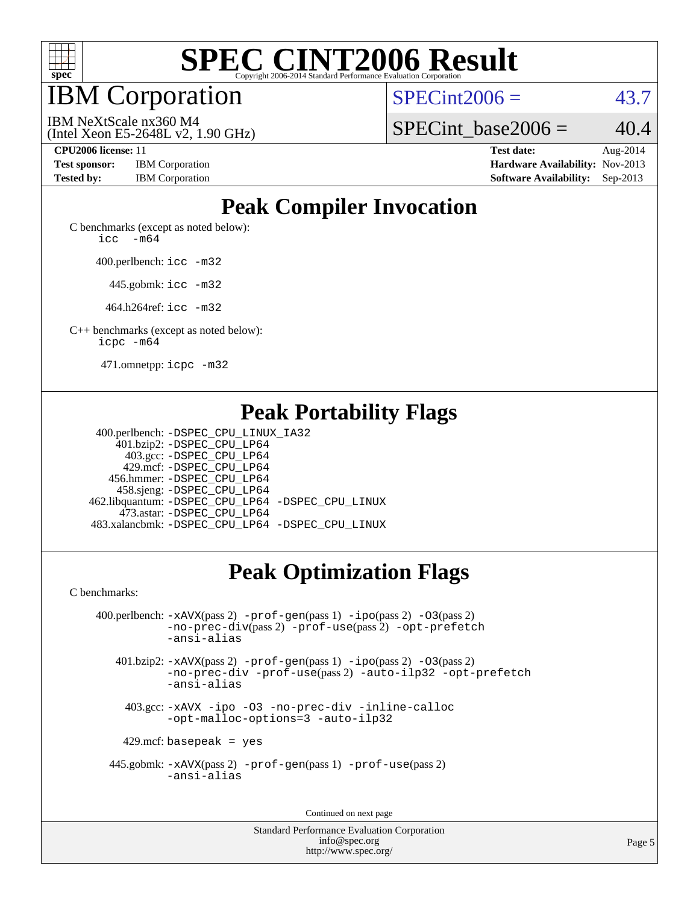

IBM Corporation

 $SPECint2006 = 43.7$  $SPECint2006 = 43.7$ 

(Intel Xeon E5-2648L v2, 1.90 GHz) IBM NeXtScale nx360 M4

SPECint base2006 =  $40.4$ 

| <b>Test sponsor:</b> | <b>IBM</b> Corporation |
|----------------------|------------------------|
| <b>Tested by:</b>    | <b>IBM</b> Corporation |

**[CPU2006 license:](http://www.spec.org/auto/cpu2006/Docs/result-fields.html#CPU2006license)** 11 **[Test date:](http://www.spec.org/auto/cpu2006/Docs/result-fields.html#Testdate)** Aug-2014 **[Hardware Availability:](http://www.spec.org/auto/cpu2006/Docs/result-fields.html#HardwareAvailability)** Nov-2013 **[Software Availability:](http://www.spec.org/auto/cpu2006/Docs/result-fields.html#SoftwareAvailability)** Sep-2013

## **[Peak Compiler Invocation](http://www.spec.org/auto/cpu2006/Docs/result-fields.html#PeakCompilerInvocation)**

[C benchmarks \(except as noted below\)](http://www.spec.org/auto/cpu2006/Docs/result-fields.html#Cbenchmarksexceptasnotedbelow): [icc -m64](http://www.spec.org/cpu2006/results/res2014q3/cpu2006-20140901-31131.flags.html#user_CCpeak_intel_icc_64bit_f346026e86af2a669e726fe758c88044)

400.perlbench: [icc -m32](http://www.spec.org/cpu2006/results/res2014q3/cpu2006-20140901-31131.flags.html#user_peakCCLD400_perlbench_intel_icc_a6a621f8d50482236b970c6ac5f55f93)

445.gobmk: [icc -m32](http://www.spec.org/cpu2006/results/res2014q3/cpu2006-20140901-31131.flags.html#user_peakCCLD445_gobmk_intel_icc_a6a621f8d50482236b970c6ac5f55f93)

464.h264ref: [icc -m32](http://www.spec.org/cpu2006/results/res2014q3/cpu2006-20140901-31131.flags.html#user_peakCCLD464_h264ref_intel_icc_a6a621f8d50482236b970c6ac5f55f93)

[C++ benchmarks \(except as noted below\):](http://www.spec.org/auto/cpu2006/Docs/result-fields.html#CXXbenchmarksexceptasnotedbelow) [icpc -m64](http://www.spec.org/cpu2006/results/res2014q3/cpu2006-20140901-31131.flags.html#user_CXXpeak_intel_icpc_64bit_fc66a5337ce925472a5c54ad6a0de310)

471.omnetpp: [icpc -m32](http://www.spec.org/cpu2006/results/res2014q3/cpu2006-20140901-31131.flags.html#user_peakCXXLD471_omnetpp_intel_icpc_4e5a5ef1a53fd332b3c49e69c3330699)

### **[Peak Portability Flags](http://www.spec.org/auto/cpu2006/Docs/result-fields.html#PeakPortabilityFlags)**

 400.perlbench: [-DSPEC\\_CPU\\_LINUX\\_IA32](http://www.spec.org/cpu2006/results/res2014q3/cpu2006-20140901-31131.flags.html#b400.perlbench_peakCPORTABILITY_DSPEC_CPU_LINUX_IA32) 401.bzip2: [-DSPEC\\_CPU\\_LP64](http://www.spec.org/cpu2006/results/res2014q3/cpu2006-20140901-31131.flags.html#suite_peakPORTABILITY401_bzip2_DSPEC_CPU_LP64) 403.gcc: [-DSPEC\\_CPU\\_LP64](http://www.spec.org/cpu2006/results/res2014q3/cpu2006-20140901-31131.flags.html#suite_peakPORTABILITY403_gcc_DSPEC_CPU_LP64) 429.mcf: [-DSPEC\\_CPU\\_LP64](http://www.spec.org/cpu2006/results/res2014q3/cpu2006-20140901-31131.flags.html#suite_peakPORTABILITY429_mcf_DSPEC_CPU_LP64) 456.hmmer: [-DSPEC\\_CPU\\_LP64](http://www.spec.org/cpu2006/results/res2014q3/cpu2006-20140901-31131.flags.html#suite_peakPORTABILITY456_hmmer_DSPEC_CPU_LP64) 458.sjeng: [-DSPEC\\_CPU\\_LP64](http://www.spec.org/cpu2006/results/res2014q3/cpu2006-20140901-31131.flags.html#suite_peakPORTABILITY458_sjeng_DSPEC_CPU_LP64) 462.libquantum: [-DSPEC\\_CPU\\_LP64](http://www.spec.org/cpu2006/results/res2014q3/cpu2006-20140901-31131.flags.html#suite_peakPORTABILITY462_libquantum_DSPEC_CPU_LP64) [-DSPEC\\_CPU\\_LINUX](http://www.spec.org/cpu2006/results/res2014q3/cpu2006-20140901-31131.flags.html#b462.libquantum_peakCPORTABILITY_DSPEC_CPU_LINUX) 473.astar: [-DSPEC\\_CPU\\_LP64](http://www.spec.org/cpu2006/results/res2014q3/cpu2006-20140901-31131.flags.html#suite_peakPORTABILITY473_astar_DSPEC_CPU_LP64) 483.xalancbmk: [-DSPEC\\_CPU\\_LP64](http://www.spec.org/cpu2006/results/res2014q3/cpu2006-20140901-31131.flags.html#suite_peakPORTABILITY483_xalancbmk_DSPEC_CPU_LP64) [-DSPEC\\_CPU\\_LINUX](http://www.spec.org/cpu2006/results/res2014q3/cpu2006-20140901-31131.flags.html#b483.xalancbmk_peakCXXPORTABILITY_DSPEC_CPU_LINUX)

## **[Peak Optimization Flags](http://www.spec.org/auto/cpu2006/Docs/result-fields.html#PeakOptimizationFlags)**

[C benchmarks](http://www.spec.org/auto/cpu2006/Docs/result-fields.html#Cbenchmarks):

 400.perlbench: [-xAVX](http://www.spec.org/cpu2006/results/res2014q3/cpu2006-20140901-31131.flags.html#user_peakPASS2_CFLAGSPASS2_LDCFLAGS400_perlbench_f-xAVX)(pass 2) [-prof-gen](http://www.spec.org/cpu2006/results/res2014q3/cpu2006-20140901-31131.flags.html#user_peakPASS1_CFLAGSPASS1_LDCFLAGS400_perlbench_prof_gen_e43856698f6ca7b7e442dfd80e94a8fc)(pass 1) [-ipo](http://www.spec.org/cpu2006/results/res2014q3/cpu2006-20140901-31131.flags.html#user_peakPASS2_CFLAGSPASS2_LDCFLAGS400_perlbench_f-ipo)(pass 2) [-O3](http://www.spec.org/cpu2006/results/res2014q3/cpu2006-20140901-31131.flags.html#user_peakPASS2_CFLAGSPASS2_LDCFLAGS400_perlbench_f-O3)(pass 2) [-no-prec-div](http://www.spec.org/cpu2006/results/res2014q3/cpu2006-20140901-31131.flags.html#user_peakPASS2_CFLAGSPASS2_LDCFLAGS400_perlbench_f-no-prec-div)(pass 2) [-prof-use](http://www.spec.org/cpu2006/results/res2014q3/cpu2006-20140901-31131.flags.html#user_peakPASS2_CFLAGSPASS2_LDCFLAGS400_perlbench_prof_use_bccf7792157ff70d64e32fe3e1250b55)(pass 2) [-opt-prefetch](http://www.spec.org/cpu2006/results/res2014q3/cpu2006-20140901-31131.flags.html#user_peakCOPTIMIZE400_perlbench_f-opt-prefetch) [-ansi-alias](http://www.spec.org/cpu2006/results/res2014q3/cpu2006-20140901-31131.flags.html#user_peakCOPTIMIZE400_perlbench_f-ansi-alias) 401.bzip2: [-xAVX](http://www.spec.org/cpu2006/results/res2014q3/cpu2006-20140901-31131.flags.html#user_peakPASS2_CFLAGSPASS2_LDCFLAGS401_bzip2_f-xAVX)(pass 2) [-prof-gen](http://www.spec.org/cpu2006/results/res2014q3/cpu2006-20140901-31131.flags.html#user_peakPASS1_CFLAGSPASS1_LDCFLAGS401_bzip2_prof_gen_e43856698f6ca7b7e442dfd80e94a8fc)(pass 1) [-ipo](http://www.spec.org/cpu2006/results/res2014q3/cpu2006-20140901-31131.flags.html#user_peakPASS2_CFLAGSPASS2_LDCFLAGS401_bzip2_f-ipo)(pass 2) [-O3](http://www.spec.org/cpu2006/results/res2014q3/cpu2006-20140901-31131.flags.html#user_peakPASS2_CFLAGSPASS2_LDCFLAGS401_bzip2_f-O3)(pass 2) [-no-prec-div](http://www.spec.org/cpu2006/results/res2014q3/cpu2006-20140901-31131.flags.html#user_peakCOPTIMIZEPASS2_CFLAGSPASS2_LDCFLAGS401_bzip2_f-no-prec-div) [-prof-use](http://www.spec.org/cpu2006/results/res2014q3/cpu2006-20140901-31131.flags.html#user_peakPASS2_CFLAGSPASS2_LDCFLAGS401_bzip2_prof_use_bccf7792157ff70d64e32fe3e1250b55)(pass 2) [-auto-ilp32](http://www.spec.org/cpu2006/results/res2014q3/cpu2006-20140901-31131.flags.html#user_peakCOPTIMIZE401_bzip2_f-auto-ilp32) [-opt-prefetch](http://www.spec.org/cpu2006/results/res2014q3/cpu2006-20140901-31131.flags.html#user_peakCOPTIMIZE401_bzip2_f-opt-prefetch) [-ansi-alias](http://www.spec.org/cpu2006/results/res2014q3/cpu2006-20140901-31131.flags.html#user_peakCOPTIMIZE401_bzip2_f-ansi-alias) 403.gcc: [-xAVX](http://www.spec.org/cpu2006/results/res2014q3/cpu2006-20140901-31131.flags.html#user_peakCOPTIMIZE403_gcc_f-xAVX) [-ipo](http://www.spec.org/cpu2006/results/res2014q3/cpu2006-20140901-31131.flags.html#user_peakCOPTIMIZE403_gcc_f-ipo) [-O3](http://www.spec.org/cpu2006/results/res2014q3/cpu2006-20140901-31131.flags.html#user_peakCOPTIMIZE403_gcc_f-O3) [-no-prec-div](http://www.spec.org/cpu2006/results/res2014q3/cpu2006-20140901-31131.flags.html#user_peakCOPTIMIZE403_gcc_f-no-prec-div) [-inline-calloc](http://www.spec.org/cpu2006/results/res2014q3/cpu2006-20140901-31131.flags.html#user_peakCOPTIMIZE403_gcc_f-inline-calloc)

[-opt-malloc-options=3](http://www.spec.org/cpu2006/results/res2014q3/cpu2006-20140901-31131.flags.html#user_peakCOPTIMIZE403_gcc_f-opt-malloc-options_13ab9b803cf986b4ee62f0a5998c2238) [-auto-ilp32](http://www.spec.org/cpu2006/results/res2014q3/cpu2006-20140901-31131.flags.html#user_peakCOPTIMIZE403_gcc_f-auto-ilp32)

 $429$ .mcf: basepeak = yes

 445.gobmk: [-xAVX](http://www.spec.org/cpu2006/results/res2014q3/cpu2006-20140901-31131.flags.html#user_peakPASS2_CFLAGSPASS2_LDCFLAGS445_gobmk_f-xAVX)(pass 2) [-prof-gen](http://www.spec.org/cpu2006/results/res2014q3/cpu2006-20140901-31131.flags.html#user_peakPASS1_CFLAGSPASS1_LDCFLAGS445_gobmk_prof_gen_e43856698f6ca7b7e442dfd80e94a8fc)(pass 1) [-prof-use](http://www.spec.org/cpu2006/results/res2014q3/cpu2006-20140901-31131.flags.html#user_peakPASS2_CFLAGSPASS2_LDCFLAGS445_gobmk_prof_use_bccf7792157ff70d64e32fe3e1250b55)(pass 2) [-ansi-alias](http://www.spec.org/cpu2006/results/res2014q3/cpu2006-20140901-31131.flags.html#user_peakCOPTIMIZE445_gobmk_f-ansi-alias)

Continued on next page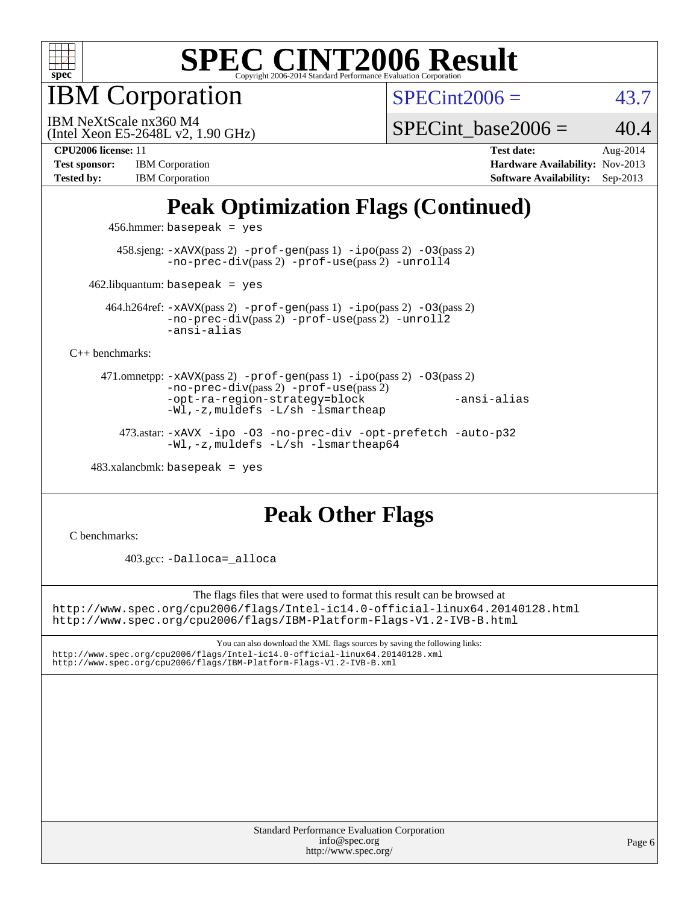

IBM Corporation

 $SPECint2006 = 43.7$  $SPECint2006 = 43.7$ 

(Intel Xeon E5-2648L v2, 1.90 GHz) IBM NeXtScale nx360 M4

SPECint base2006 =  $40.4$ 

[Tested by:](http://www.spec.org/auto/cpu2006/Docs/result-fields.html#Testedby) IBM Corporation **[Software Availability:](http://www.spec.org/auto/cpu2006/Docs/result-fields.html#SoftwareAvailability)** Sep-2013

**[CPU2006 license:](http://www.spec.org/auto/cpu2006/Docs/result-fields.html#CPU2006license)** 11 **[Test date:](http://www.spec.org/auto/cpu2006/Docs/result-fields.html#Testdate)** Aug-2014 **[Test sponsor:](http://www.spec.org/auto/cpu2006/Docs/result-fields.html#Testsponsor)** IBM Corporation **[Hardware Availability:](http://www.spec.org/auto/cpu2006/Docs/result-fields.html#HardwareAvailability)** Nov-2013

# **[Peak Optimization Flags \(Continued\)](http://www.spec.org/auto/cpu2006/Docs/result-fields.html#PeakOptimizationFlags)**

456.hmmer: basepeak = yes

 458.sjeng: [-xAVX](http://www.spec.org/cpu2006/results/res2014q3/cpu2006-20140901-31131.flags.html#user_peakPASS2_CFLAGSPASS2_LDCFLAGS458_sjeng_f-xAVX)(pass 2) [-prof-gen](http://www.spec.org/cpu2006/results/res2014q3/cpu2006-20140901-31131.flags.html#user_peakPASS1_CFLAGSPASS1_LDCFLAGS458_sjeng_prof_gen_e43856698f6ca7b7e442dfd80e94a8fc)(pass 1) [-ipo](http://www.spec.org/cpu2006/results/res2014q3/cpu2006-20140901-31131.flags.html#user_peakPASS2_CFLAGSPASS2_LDCFLAGS458_sjeng_f-ipo)(pass 2) [-O3](http://www.spec.org/cpu2006/results/res2014q3/cpu2006-20140901-31131.flags.html#user_peakPASS2_CFLAGSPASS2_LDCFLAGS458_sjeng_f-O3)(pass 2) [-no-prec-div](http://www.spec.org/cpu2006/results/res2014q3/cpu2006-20140901-31131.flags.html#user_peakPASS2_CFLAGSPASS2_LDCFLAGS458_sjeng_f-no-prec-div)(pass 2) [-prof-use](http://www.spec.org/cpu2006/results/res2014q3/cpu2006-20140901-31131.flags.html#user_peakPASS2_CFLAGSPASS2_LDCFLAGS458_sjeng_prof_use_bccf7792157ff70d64e32fe3e1250b55)(pass 2) [-unroll4](http://www.spec.org/cpu2006/results/res2014q3/cpu2006-20140901-31131.flags.html#user_peakCOPTIMIZE458_sjeng_f-unroll_4e5e4ed65b7fd20bdcd365bec371b81f)

 $462$ .libquantum: basepeak = yes

 464.h264ref: [-xAVX](http://www.spec.org/cpu2006/results/res2014q3/cpu2006-20140901-31131.flags.html#user_peakPASS2_CFLAGSPASS2_LDCFLAGS464_h264ref_f-xAVX)(pass 2) [-prof-gen](http://www.spec.org/cpu2006/results/res2014q3/cpu2006-20140901-31131.flags.html#user_peakPASS1_CFLAGSPASS1_LDCFLAGS464_h264ref_prof_gen_e43856698f6ca7b7e442dfd80e94a8fc)(pass 1) [-ipo](http://www.spec.org/cpu2006/results/res2014q3/cpu2006-20140901-31131.flags.html#user_peakPASS2_CFLAGSPASS2_LDCFLAGS464_h264ref_f-ipo)(pass 2) [-O3](http://www.spec.org/cpu2006/results/res2014q3/cpu2006-20140901-31131.flags.html#user_peakPASS2_CFLAGSPASS2_LDCFLAGS464_h264ref_f-O3)(pass 2) [-no-prec-div](http://www.spec.org/cpu2006/results/res2014q3/cpu2006-20140901-31131.flags.html#user_peakPASS2_CFLAGSPASS2_LDCFLAGS464_h264ref_f-no-prec-div)(pass 2) [-prof-use](http://www.spec.org/cpu2006/results/res2014q3/cpu2006-20140901-31131.flags.html#user_peakPASS2_CFLAGSPASS2_LDCFLAGS464_h264ref_prof_use_bccf7792157ff70d64e32fe3e1250b55)(pass 2) [-unroll2](http://www.spec.org/cpu2006/results/res2014q3/cpu2006-20140901-31131.flags.html#user_peakCOPTIMIZE464_h264ref_f-unroll_784dae83bebfb236979b41d2422d7ec2) [-ansi-alias](http://www.spec.org/cpu2006/results/res2014q3/cpu2006-20140901-31131.flags.html#user_peakCOPTIMIZE464_h264ref_f-ansi-alias)

[C++ benchmarks:](http://www.spec.org/auto/cpu2006/Docs/result-fields.html#CXXbenchmarks)

 471.omnetpp: [-xAVX](http://www.spec.org/cpu2006/results/res2014q3/cpu2006-20140901-31131.flags.html#user_peakPASS2_CXXFLAGSPASS2_LDCXXFLAGS471_omnetpp_f-xAVX)(pass 2) [-prof-gen](http://www.spec.org/cpu2006/results/res2014q3/cpu2006-20140901-31131.flags.html#user_peakPASS1_CXXFLAGSPASS1_LDCXXFLAGS471_omnetpp_prof_gen_e43856698f6ca7b7e442dfd80e94a8fc)(pass 1) [-ipo](http://www.spec.org/cpu2006/results/res2014q3/cpu2006-20140901-31131.flags.html#user_peakPASS2_CXXFLAGSPASS2_LDCXXFLAGS471_omnetpp_f-ipo)(pass 2) [-O3](http://www.spec.org/cpu2006/results/res2014q3/cpu2006-20140901-31131.flags.html#user_peakPASS2_CXXFLAGSPASS2_LDCXXFLAGS471_omnetpp_f-O3)(pass 2) [-no-prec-div](http://www.spec.org/cpu2006/results/res2014q3/cpu2006-20140901-31131.flags.html#user_peakPASS2_CXXFLAGSPASS2_LDCXXFLAGS471_omnetpp_f-no-prec-div)(pass 2) [-prof-use](http://www.spec.org/cpu2006/results/res2014q3/cpu2006-20140901-31131.flags.html#user_peakPASS2_CXXFLAGSPASS2_LDCXXFLAGS471_omnetpp_prof_use_bccf7792157ff70d64e32fe3e1250b55)(pass 2) [-opt-ra-region-strategy=block](http://www.spec.org/cpu2006/results/res2014q3/cpu2006-20140901-31131.flags.html#user_peakCXXOPTIMIZE471_omnetpp_f-opt-ra-region-strategy_5382940c29ea30302d682fc74bfe0147) [-ansi-alias](http://www.spec.org/cpu2006/results/res2014q3/cpu2006-20140901-31131.flags.html#user_peakCXXOPTIMIZE471_omnetpp_f-ansi-alias) [-Wl,-z,muldefs](http://www.spec.org/cpu2006/results/res2014q3/cpu2006-20140901-31131.flags.html#user_peakEXTRA_LDFLAGS471_omnetpp_link_force_multiple1_74079c344b956b9658436fd1b6dd3a8a) [-L/sh -lsmartheap](http://www.spec.org/cpu2006/results/res2014q3/cpu2006-20140901-31131.flags.html#user_peakEXTRA_LIBS471_omnetpp_SmartHeap_32f6c82aa1ed9c52345d30cf6e4a0499)

 473.astar: [-xAVX](http://www.spec.org/cpu2006/results/res2014q3/cpu2006-20140901-31131.flags.html#user_peakCXXOPTIMIZE473_astar_f-xAVX) [-ipo](http://www.spec.org/cpu2006/results/res2014q3/cpu2006-20140901-31131.flags.html#user_peakCXXOPTIMIZE473_astar_f-ipo) [-O3](http://www.spec.org/cpu2006/results/res2014q3/cpu2006-20140901-31131.flags.html#user_peakCXXOPTIMIZE473_astar_f-O3) [-no-prec-div](http://www.spec.org/cpu2006/results/res2014q3/cpu2006-20140901-31131.flags.html#user_peakCXXOPTIMIZE473_astar_f-no-prec-div) [-opt-prefetch](http://www.spec.org/cpu2006/results/res2014q3/cpu2006-20140901-31131.flags.html#user_peakCXXOPTIMIZE473_astar_f-opt-prefetch) [-auto-p32](http://www.spec.org/cpu2006/results/res2014q3/cpu2006-20140901-31131.flags.html#user_peakCXXOPTIMIZE473_astar_f-auto-p32) [-Wl,-z,muldefs](http://www.spec.org/cpu2006/results/res2014q3/cpu2006-20140901-31131.flags.html#user_peakEXTRA_LDFLAGS473_astar_link_force_multiple1_74079c344b956b9658436fd1b6dd3a8a) [-L/sh -lsmartheap64](http://www.spec.org/cpu2006/results/res2014q3/cpu2006-20140901-31131.flags.html#user_peakEXTRA_LIBS473_astar_SmartHeap64_ed4ef857ce90951921efb0d91eb88472)

 $483.xalanchmk: basepeak = yes$ 

## **[Peak Other Flags](http://www.spec.org/auto/cpu2006/Docs/result-fields.html#PeakOtherFlags)**

[C benchmarks](http://www.spec.org/auto/cpu2006/Docs/result-fields.html#Cbenchmarks):

403.gcc: [-Dalloca=\\_alloca](http://www.spec.org/cpu2006/results/res2014q3/cpu2006-20140901-31131.flags.html#b403.gcc_peakEXTRA_CFLAGS_Dalloca_be3056838c12de2578596ca5467af7f3)

The flags files that were used to format this result can be browsed at <http://www.spec.org/cpu2006/flags/Intel-ic14.0-official-linux64.20140128.html> <http://www.spec.org/cpu2006/flags/IBM-Platform-Flags-V1.2-IVB-B.html>

You can also download the XML flags sources by saving the following links: <http://www.spec.org/cpu2006/flags/Intel-ic14.0-official-linux64.20140128.xml> <http://www.spec.org/cpu2006/flags/IBM-Platform-Flags-V1.2-IVB-B.xml>